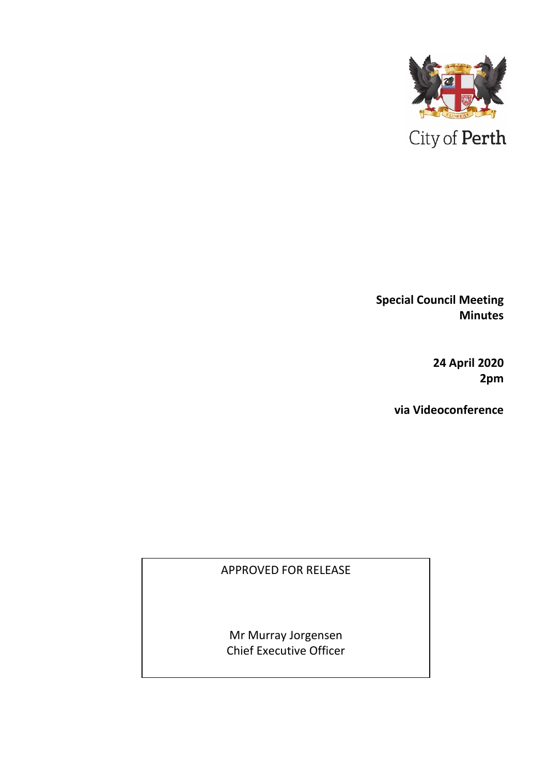

**Special Council Meeting Minutes** 

> **24 April 2020 2pm**

**via Videoconference**

## APPROVED FOR RELEASE

Mr Murray Jorgensen Chief Executive Officer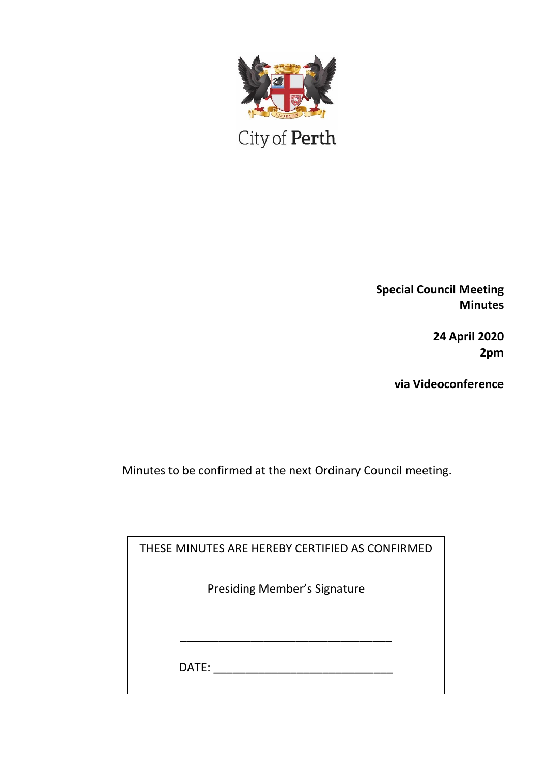

 $\mathop{\mathrm{City}}$  of  $\mathop{\mathrm{Perth}}$ 

**Special Council Meeting Minutes**

> **24 April 2020 2pm**

**via Videoconference**

Minutes to be confirmed at the next Ordinary Council meeting.

| THESE MINUTES ARE HEREBY CERTIFIED AS CONFIRMED |  |
|-------------------------------------------------|--|
| <b>Presiding Member's Signature</b>             |  |
|                                                 |  |
| DATE:                                           |  |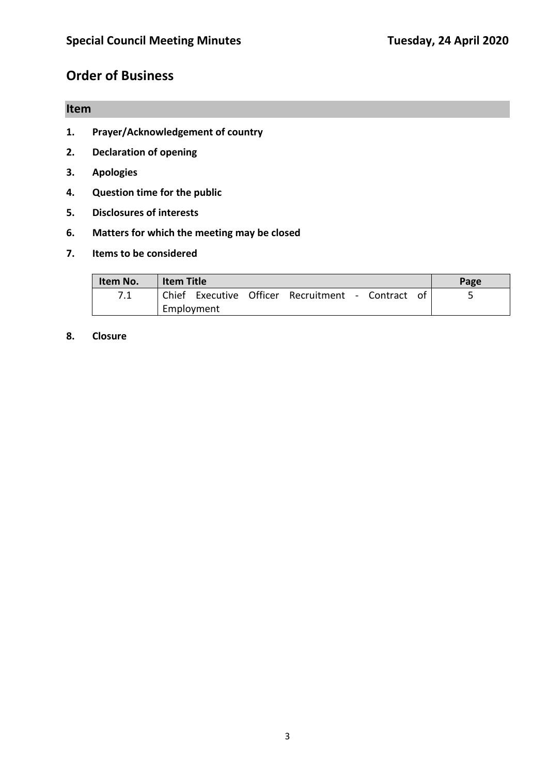# **Order of Business**

## **Item**

- **1. Prayer/Acknowledgement of country**
- **2. Declaration of opening**
- **3. Apologies**
- **4. Question time for the public**
- **5. Disclosures of interests**
- **6. Matters for which the meeting may be closed**
- **7. Items to be considered**

| Item No. | <b>Item Title</b> |  |  |                                                   |  | Page |  |  |
|----------|-------------------|--|--|---------------------------------------------------|--|------|--|--|
|          |                   |  |  | Chief Executive Officer Recruitment - Contract of |  |      |  |  |
|          | Employment        |  |  |                                                   |  |      |  |  |

**8. Closure**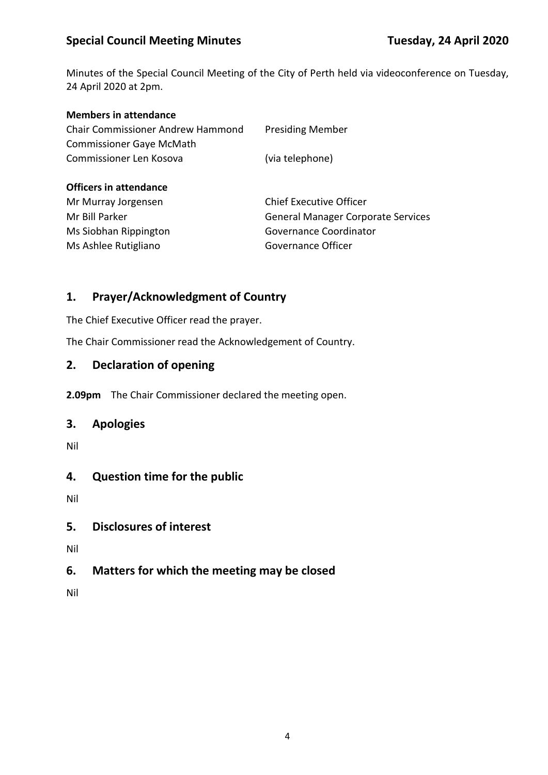## **Special Council Meeting Minutes Tuesday, 24 April 2020**

Minutes of the Special Council Meeting of the City of Perth held via videoconference on Tuesday, 24 April 2020 at 2pm.

| <b>Members in attendance</b>             |                                           |
|------------------------------------------|-------------------------------------------|
| <b>Chair Commissioner Andrew Hammond</b> | <b>Presiding Member</b>                   |
| <b>Commissioner Gaye McMath</b>          |                                           |
| Commissioner Len Kosova                  | (via telephone)                           |
| <b>Officers in attendance</b>            |                                           |
| Mr Murray Jorgensen                      | <b>Chief Executive Officer</b>            |
| Mr Bill Parker                           | <b>General Manager Corporate Services</b> |
| Ms Siobhan Rippington                    | Governance Coordinator                    |
| Ms Ashlee Rutigliano                     | Governance Officer                        |

### **1. Prayer/Acknowledgment of Country**

The Chief Executive Officer read the prayer.

The Chair Commissioner read the Acknowledgement of Country.

### **2. Declaration of opening**

**2.09pm** The Chair Commissioner declared the meeting open.

#### **3. Apologies**

Nil

### **4. Question time for the public**

Nil

#### **5. Disclosures of interest**

Nil

### **6. Matters for which the meeting may be closed**

Nil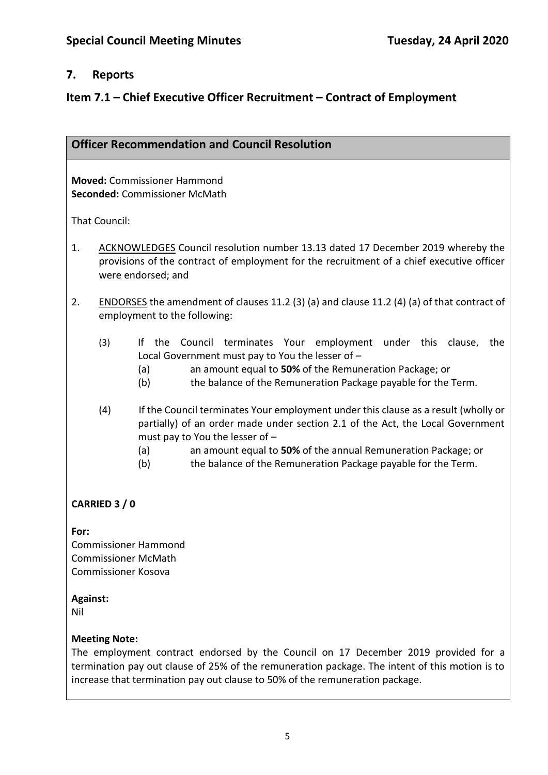#### **7. Reports**

### **Item 7.1 – Chief Executive Officer Recruitment – Contract of Employment**

#### **Officer Recommendation and Council Resolution**

**Moved:** Commissioner Hammond **Seconded:** Commissioner McMath

That Council:

- 1. ACKNOWLEDGES Council resolution number 13.13 dated 17 December 2019 whereby the provisions of the contract of employment for the recruitment of a chief executive officer were endorsed; and
- 2. ENDORSES the amendment of clauses 11.2 (3) (a) and clause 11.2 (4) (a) of that contract of employment to the following:
	- (3) If the Council terminates Your employment under this clause, the Local Government must pay to You the lesser of –
		- (a) an amount equal to **50%** of the Remuneration Package; or
		- (b) the balance of the Remuneration Package payable for the Term.
	- (4) If the Council terminates Your employment under this clause as a result (wholly or partially) of an order made under section 2.1 of the Act, the Local Government must pay to You the lesser of –
		- (a) an amount equal to **50%** of the annual Remuneration Package; or
		- (b) the balance of the Remuneration Package payable for the Term.

#### **CARRIED 3 / 0**

**For:**  Commissioner Hammond Commissioner McMath Commissioner Kosova

**Against:** 

Nil

#### **Meeting Note:**

The employment contract endorsed by the Council on 17 December 2019 provided for a termination pay out clause of 25% of the remuneration package. The intent of this motion is to increase that termination pay out clause to 50% of the remuneration package.